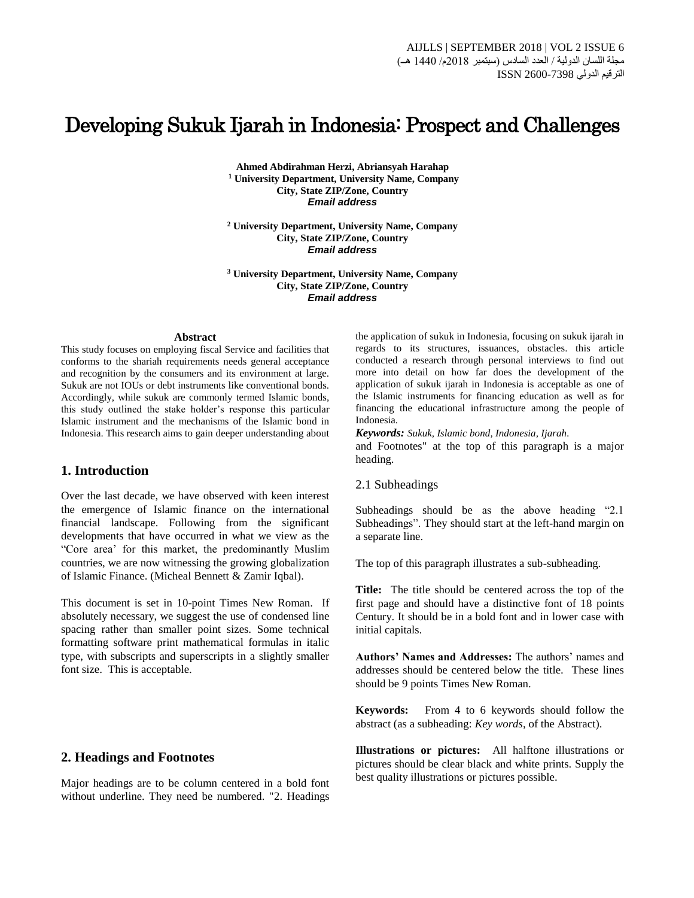# Developing Sukuk Ijarah in Indonesia: Prospect and Challenges

**Ahmed Abdirahman Herzi, Abriansyah Harahap <sup>1</sup> University Department, University Name, Company City, State ZIP/Zone, Country** *Email address*

**<sup>2</sup> University Department, University Name, Company City, State ZIP/Zone, Country** *Email address*

**<sup>3</sup> University Department, University Name, Company City, State ZIP/Zone, Country** *Email address*

#### **Abstract**

This study focuses on employing fiscal Service and facilities that conforms to the shariah requirements needs general acceptance and recognition by the consumers and its environment at large. Sukuk are not IOUs or debt instruments like conventional bonds. Accordingly, while sukuk are commonly termed Islamic bonds, this study outlined the stake holder's response this particular Islamic instrument and the mechanisms of the Islamic bond in Indonesia. This research aims to gain deeper understanding about

# **1. Introduction**

Over the last decade, we have observed with keen interest the emergence of Islamic finance on the international financial landscape. Following from the significant developments that have occurred in what we view as the "Core area' for this market, the predominantly Muslim countries, we are now witnessing the growing globalization of Islamic Finance. (Micheal Bennett & Zamir Iqbal).

This document is set in 10-point Times New Roman. If absolutely necessary, we suggest the use of condensed line spacing rather than smaller point sizes. Some technical formatting software print mathematical formulas in italic type, with subscripts and superscripts in a slightly smaller font size. This is acceptable.

## **2. Headings and Footnotes**

Major headings are to be column centered in a bold font without underline. They need be numbered. "2. Headings the application of sukuk in Indonesia, focusing on sukuk ijarah in regards to its structures, issuances, obstacles. this article conducted a research through personal interviews to find out more into detail on how far does the development of the application of sukuk ijarah in Indonesia is acceptable as one of the Islamic instruments for financing education as well as for financing the educational infrastructure among the people of Indonesia.

*Keywords: Sukuk, Islamic bond, Indonesia, Ijarah.*

and Footnotes" at the top of this paragraph is a major heading.

2.1 Subheadings

Subheadings should be as the above heading "2.1 Subheadings". They should start at the left-hand margin on a separate line.

The top of this paragraph illustrates a sub-subheading.

**Title:** The title should be centered across the top of the first page and should have a distinctive font of 18 points Century. It should be in a bold font and in lower case with initial capitals.

**Authors' Names and Addresses:** The authors' names and addresses should be centered below the title. These lines should be 9 points Times New Roman.

**Keywords:** From 4 to 6 keywords should follow the abstract (as a subheading: *Key words*, of the Abstract).

**Illustrations or pictures:** All halftone illustrations or pictures should be clear black and white prints. Supply the best quality illustrations or pictures possible.